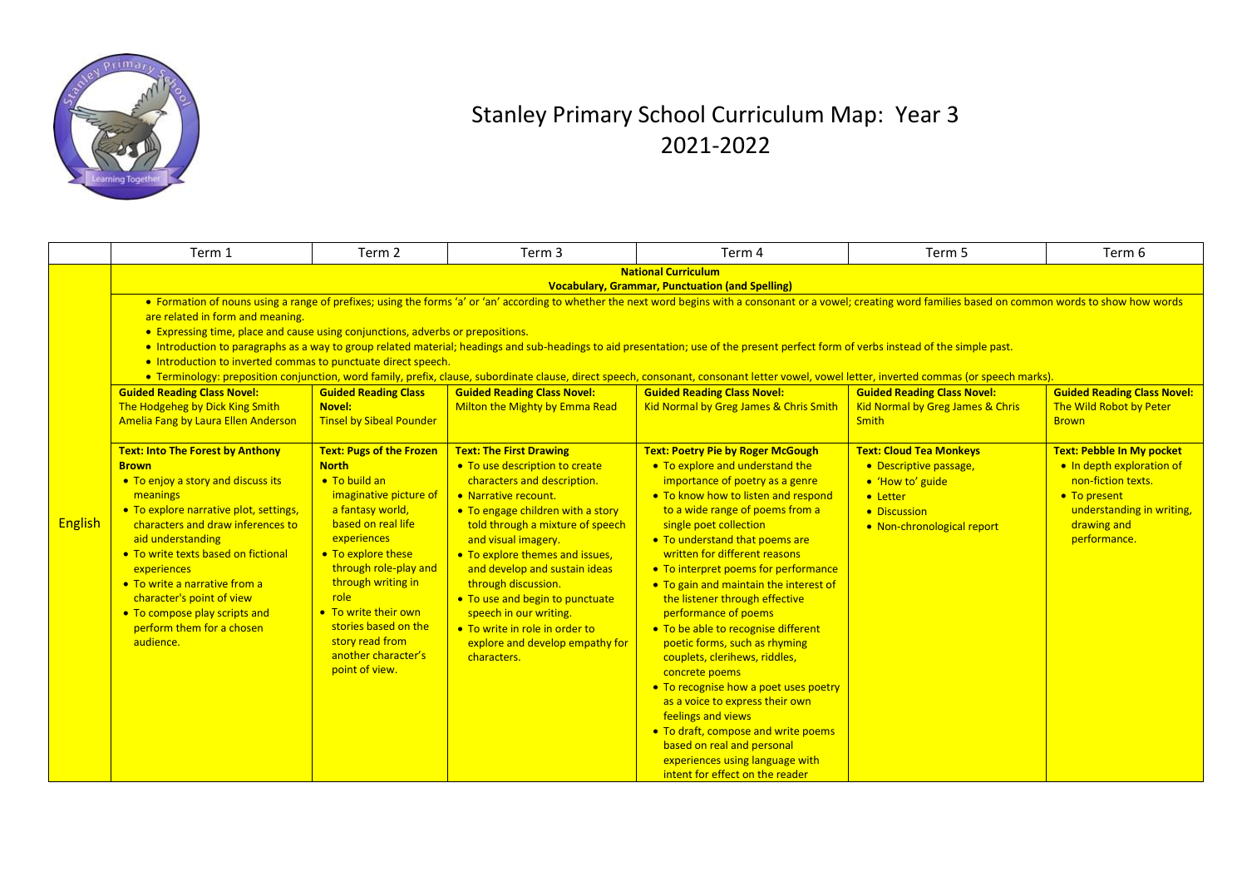

## Stanley Primary School Curriculum Map: Year 3 2021-2022

|                | Term 1                                                                                                                                                                                                                                                                                                                                                                                                                                                                                                                           | Term <sub>2</sub>                                                                                                                                                                                                                                                                                                                            | Term <sub>3</sub>                                                                                                                                                                                                                                                                                                                                                                                                                                                   | Term 4                                                                                                                                                                                                                                                                                                                                                                                                                                                                                                                                                                                                                                                                                                                                                                                                    | Term 5                                                                                                                                 | Term 6                                                                                                                                                   |  |  |  |
|----------------|----------------------------------------------------------------------------------------------------------------------------------------------------------------------------------------------------------------------------------------------------------------------------------------------------------------------------------------------------------------------------------------------------------------------------------------------------------------------------------------------------------------------------------|----------------------------------------------------------------------------------------------------------------------------------------------------------------------------------------------------------------------------------------------------------------------------------------------------------------------------------------------|---------------------------------------------------------------------------------------------------------------------------------------------------------------------------------------------------------------------------------------------------------------------------------------------------------------------------------------------------------------------------------------------------------------------------------------------------------------------|-----------------------------------------------------------------------------------------------------------------------------------------------------------------------------------------------------------------------------------------------------------------------------------------------------------------------------------------------------------------------------------------------------------------------------------------------------------------------------------------------------------------------------------------------------------------------------------------------------------------------------------------------------------------------------------------------------------------------------------------------------------------------------------------------------------|----------------------------------------------------------------------------------------------------------------------------------------|----------------------------------------------------------------------------------------------------------------------------------------------------------|--|--|--|
|                | <b>National Curriculum</b><br><b>Vocabulary, Grammar, Punctuation (and Spelling)</b>                                                                                                                                                                                                                                                                                                                                                                                                                                             |                                                                                                                                                                                                                                                                                                                                              |                                                                                                                                                                                                                                                                                                                                                                                                                                                                     |                                                                                                                                                                                                                                                                                                                                                                                                                                                                                                                                                                                                                                                                                                                                                                                                           |                                                                                                                                        |                                                                                                                                                          |  |  |  |
|                | • Formation of nouns using a range of prefixes; using the forms 'a' or 'an' according to whether the next word begins with a consonant or a vowel; creating word families based on common words to show how words<br>are related in form and meaning.<br>• Expressing time, place and cause using conjunctions, adverbs or prepositions.<br>• Introduction to paragraphs as a way to group related material; headings and sub-headings to aid presentation; use of the present perfect form of verbs instead of the simple past. |                                                                                                                                                                                                                                                                                                                                              |                                                                                                                                                                                                                                                                                                                                                                                                                                                                     |                                                                                                                                                                                                                                                                                                                                                                                                                                                                                                                                                                                                                                                                                                                                                                                                           |                                                                                                                                        |                                                                                                                                                          |  |  |  |
|                | . Introduction to inverted commas to punctuate direct speech.<br>• Terminology: preposition conjunction, word family, prefix, clause, subordinate clause, direct speech, consonant, consonant letter vowel, vowel letter, inverted commas (or speech marks).                                                                                                                                                                                                                                                                     |                                                                                                                                                                                                                                                                                                                                              |                                                                                                                                                                                                                                                                                                                                                                                                                                                                     |                                                                                                                                                                                                                                                                                                                                                                                                                                                                                                                                                                                                                                                                                                                                                                                                           |                                                                                                                                        |                                                                                                                                                          |  |  |  |
|                | <b>Guided Reading Class Novel:</b><br>The Hodgeheg by Dick King Smith<br><b>Amelia Fang by Laura Ellen Anderson</b>                                                                                                                                                                                                                                                                                                                                                                                                              | <b>Guided Reading Class</b><br>Novel:<br><b>Tinsel by Sibeal Pounder</b>                                                                                                                                                                                                                                                                     | <b>Guided Reading Class Novel:</b><br>Milton the Mighty by Emma Read                                                                                                                                                                                                                                                                                                                                                                                                | <b>Guided Reading Class Novel:</b><br>Kid Normal by Greg James & Chris Smith                                                                                                                                                                                                                                                                                                                                                                                                                                                                                                                                                                                                                                                                                                                              | <b>Guided Reading Class Novel:</b><br><b>Kid Normal by Greg James &amp; Chris</b><br><b>Smith</b>                                      | <b>Guided Reading Class Novel:</b><br>The Wild Robot by Peter<br><b>Brown</b>                                                                            |  |  |  |
| <b>English</b> | <b>Text: Into The Forest by Anthony</b><br><b>Brown</b><br>• To enjoy a story and discuss its<br>meanings<br>• To explore narrative plot, settings,<br>characters and draw inferences to<br>aid understanding<br>• To write texts based on fictional<br>experiences<br>• To write a narrative from a<br>character's point of view<br>• To compose play scripts and<br>perform them for a chosen<br>audience.                                                                                                                     | <b>Text: Pugs of the Frozen</b><br><b>North</b><br>• To build an<br>imaginative picture of<br>a fantasy world,<br>based on real life<br>experiences<br>• To explore these<br>through role-play and<br>through writing in<br>role<br>• To write their own<br>stories based on the<br>story read from<br>another character's<br>point of view. | <b>Text: The First Drawing</b><br>• To use description to create<br>characters and description.<br>• Narrative recount.<br>• To engage children with a story<br>told through a mixture of speech<br>and visual imagery.<br>• To explore themes and issues,<br>and develop and sustain ideas<br>through discussion.<br>• To use and begin to punctuate<br>speech in our writing.<br>• To write in role in order to<br>explore and develop empathy for<br>characters. | <b>Text: Poetry Pie by Roger McGough</b><br>• To explore and understand the<br>importance of poetry as a genre<br>• To know how to listen and respond<br>to a wide range of poems from a<br>single poet collection<br>• To understand that poems are<br>written for different reasons<br>• To interpret poems for performance<br>• To gain and maintain the interest of<br>the listener through effective<br>performance of poems<br>• To be able to recognise different<br>poetic forms, such as rhyming<br>couplets, clerihews, riddles,<br>concrete poems<br>• To recognise how a poet uses poetry<br>as a voice to express their own<br>feelings and views<br>• To draft, compose and write poems<br>based on real and personal<br>experiences using language with<br>intent for effect on the reader | <b>Text: Cloud Tea Monkeys</b><br>• Descriptive passage,<br>• 'How to' guide<br>• Letter<br>• Discussion<br>• Non-chronological report | Text: Pebble In My pocket<br>. In depth exploration of<br>non-fiction texts.<br>• To present<br>understanding in writing,<br>drawing and<br>performance. |  |  |  |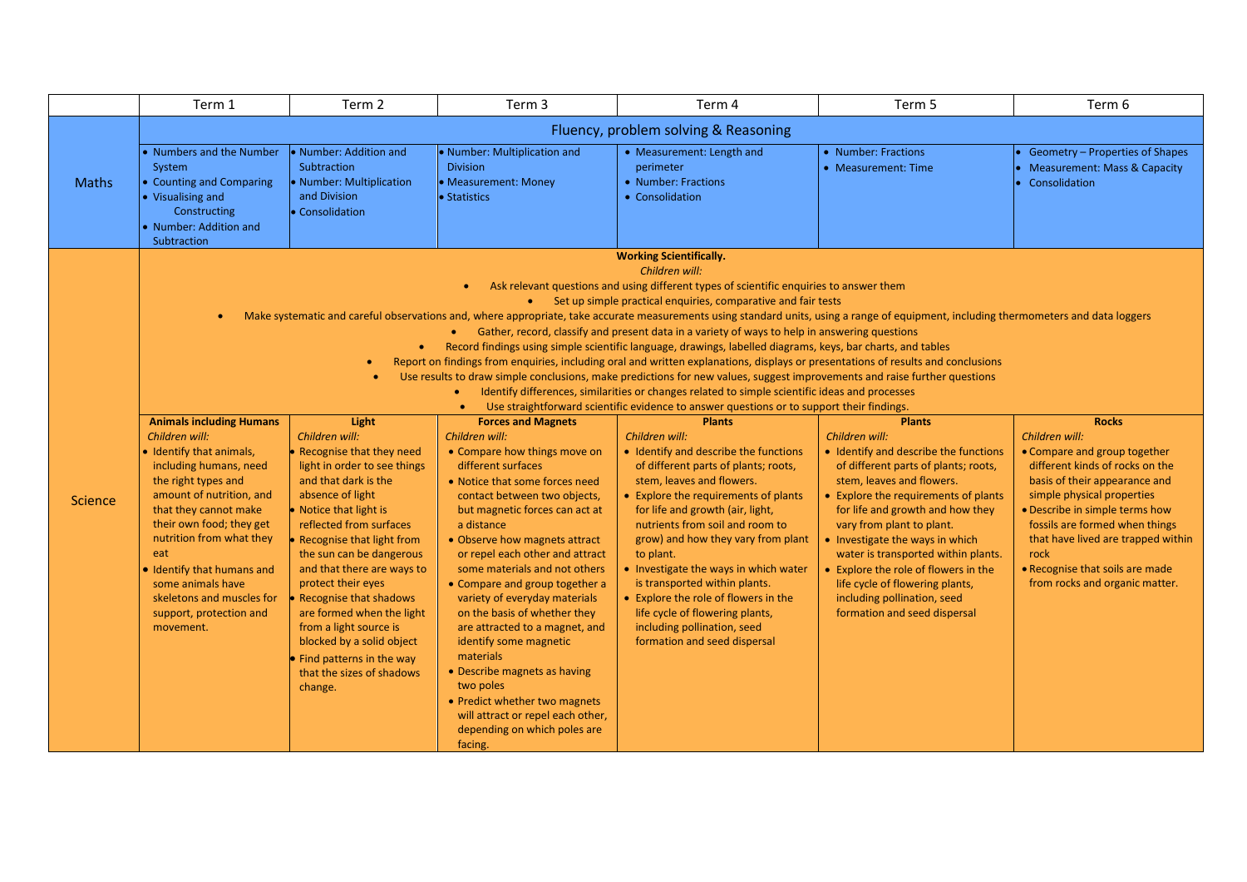|              | Term 1                                                                                                                                                                                                                | Term 2                                                                                               | Term 3                                                                                | Term 4                                                                                                                                                                                                                                          | Term 5                                                                        | Term 6                                                                                      |  |  |  |
|--------------|-----------------------------------------------------------------------------------------------------------------------------------------------------------------------------------------------------------------------|------------------------------------------------------------------------------------------------------|---------------------------------------------------------------------------------------|-------------------------------------------------------------------------------------------------------------------------------------------------------------------------------------------------------------------------------------------------|-------------------------------------------------------------------------------|---------------------------------------------------------------------------------------------|--|--|--|
|              |                                                                                                                                                                                                                       |                                                                                                      |                                                                                       | Fluency, problem solving & Reasoning                                                                                                                                                                                                            |                                                                               |                                                                                             |  |  |  |
| <b>Maths</b> | Numbers and the Number<br>System<br>• Counting and Comparing<br>• Visualising and<br>Constructing<br>• Number: Addition and<br>Subtraction                                                                            | • Number: Addition and<br>Subtraction<br>• Number: Multiplication<br>and Division<br>• Consolidation | Number: Multiplication and<br><b>Division</b><br>• Measurement: Money<br>· Statistics | • Measurement: Length and<br>perimeter<br>• Number: Fractions<br>• Consolidation                                                                                                                                                                | • Number: Fractions<br>• Measurement: Time                                    | Geometry - Properties of Shapes<br><b>Measurement: Mass &amp; Capacity</b><br>Consolidation |  |  |  |
|              |                                                                                                                                                                                                                       |                                                                                                      |                                                                                       | <b>Working Scientifically.</b>                                                                                                                                                                                                                  |                                                                               |                                                                                             |  |  |  |
|              |                                                                                                                                                                                                                       |                                                                                                      |                                                                                       | Children will:<br>Ask relevant questions and using different types of scientific enquiries to answer them                                                                                                                                       |                                                                               |                                                                                             |  |  |  |
|              |                                                                                                                                                                                                                       |                                                                                                      |                                                                                       | • Set up simple practical enquiries, comparative and fair tests                                                                                                                                                                                 |                                                                               |                                                                                             |  |  |  |
|              |                                                                                                                                                                                                                       |                                                                                                      |                                                                                       | Make systematic and careful observations and, where appropriate, take accurate measurements using standard units, using a range of equipment, including thermometers and data loggers                                                           |                                                                               |                                                                                             |  |  |  |
|              |                                                                                                                                                                                                                       | $\bullet$                                                                                            |                                                                                       | Gather, record, classify and present data in a variety of ways to help in answering questions                                                                                                                                                   |                                                                               |                                                                                             |  |  |  |
|              |                                                                                                                                                                                                                       |                                                                                                      |                                                                                       | Record findings using simple scientific language, drawings, labelled diagrams, keys, bar charts, and tables<br>Report on findings from enquiries, including oral and written explanations, displays or presentations of results and conclusions |                                                                               |                                                                                             |  |  |  |
|              | Use results to draw simple conclusions, make predictions for new values, suggest improvements and raise further questions                                                                                             |                                                                                                      |                                                                                       |                                                                                                                                                                                                                                                 |                                                                               |                                                                                             |  |  |  |
|              | Identify differences, similarities or changes related to simple scientific ideas and processes<br>$\bullet$<br>Use straightforward scientific evidence to answer questions or to support their findings.<br>$\bullet$ |                                                                                                      |                                                                                       |                                                                                                                                                                                                                                                 |                                                                               |                                                                                             |  |  |  |
|              | <b>Animals including Humans</b>                                                                                                                                                                                       | Light                                                                                                | <b>Forces and Magnets</b>                                                             | <b>Plants</b>                                                                                                                                                                                                                                   | <b>Plants</b>                                                                 | <b>Rocks</b>                                                                                |  |  |  |
|              | Children will:                                                                                                                                                                                                        | Children will:                                                                                       | Children will:                                                                        | Children will:                                                                                                                                                                                                                                  | Children will:                                                                | Children will:                                                                              |  |  |  |
|              | • Identify that animals,<br>including humans, need                                                                                                                                                                    | • Recognise that they need<br>light in order to see things                                           | • Compare how things move on<br>different surfaces                                    | • Identify and describe the functions<br>of different parts of plants; roots,                                                                                                                                                                   | • Identify and describe the functions<br>of different parts of plants; roots, | • Compare and group together<br>different kinds of rocks on the                             |  |  |  |
|              | the right types and                                                                                                                                                                                                   | and that dark is the                                                                                 | • Notice that some forces need                                                        | stem, leaves and flowers.                                                                                                                                                                                                                       | stem, leaves and flowers.                                                     | basis of their appearance and                                                               |  |  |  |
| Science      | amount of nutrition, and                                                                                                                                                                                              | absence of light                                                                                     | contact between two objects,                                                          | • Explore the requirements of plants                                                                                                                                                                                                            | • Explore the requirements of plants                                          | simple physical properties                                                                  |  |  |  |
|              | that they cannot make<br>their own food; they get                                                                                                                                                                     | • Notice that light is<br>reflected from surfaces                                                    | but magnetic forces can act at<br>a distance                                          | for life and growth (air, light,<br>nutrients from soil and room to                                                                                                                                                                             | for life and growth and how they<br>vary from plant to plant.                 | • Describe in simple terms how<br>fossils are formed when things                            |  |  |  |
|              | nutrition from what they                                                                                                                                                                                              | • Recognise that light from                                                                          | • Observe how magnets attract                                                         | grow) and how they vary from plant                                                                                                                                                                                                              | • Investigate the ways in which                                               | that have lived are trapped within                                                          |  |  |  |
|              | eat                                                                                                                                                                                                                   | the sun can be dangerous                                                                             | or repel each other and attract                                                       | to plant.                                                                                                                                                                                                                                       | water is transported within plants.                                           | rock                                                                                        |  |  |  |
|              | . Identify that humans and<br>some animals have                                                                                                                                                                       | and that there are ways to<br>protect their eyes                                                     | some materials and not others<br>• Compare and group together a                       | . Investigate the ways in which water<br>is transported within plants.                                                                                                                                                                          | • Explore the role of flowers in the<br>life cycle of flowering plants,       | • Recognise that soils are made<br>from rocks and organic matter.                           |  |  |  |
|              | skeletons and muscles for                                                                                                                                                                                             | • Recognise that shadows                                                                             | variety of everyday materials                                                         | • Explore the role of flowers in the                                                                                                                                                                                                            | including pollination, seed                                                   |                                                                                             |  |  |  |
|              | support, protection and                                                                                                                                                                                               | are formed when the light                                                                            | on the basis of whether they                                                          | life cycle of flowering plants,                                                                                                                                                                                                                 | formation and seed dispersal                                                  |                                                                                             |  |  |  |
|              | movement.                                                                                                                                                                                                             | from a light source is<br>blocked by a solid object                                                  | are attracted to a magnet, and<br>identify some magnetic                              | including pollination, seed<br>formation and seed dispersal                                                                                                                                                                                     |                                                                               |                                                                                             |  |  |  |
|              |                                                                                                                                                                                                                       | $\bullet$ Find patterns in the way                                                                   | materials                                                                             |                                                                                                                                                                                                                                                 |                                                                               |                                                                                             |  |  |  |
|              |                                                                                                                                                                                                                       | that the sizes of shadows                                                                            | • Describe magnets as having                                                          |                                                                                                                                                                                                                                                 |                                                                               |                                                                                             |  |  |  |
|              |                                                                                                                                                                                                                       | change.                                                                                              | two poles<br>• Predict whether two magnets                                            |                                                                                                                                                                                                                                                 |                                                                               |                                                                                             |  |  |  |
|              |                                                                                                                                                                                                                       |                                                                                                      | will attract or repel each other,                                                     |                                                                                                                                                                                                                                                 |                                                                               |                                                                                             |  |  |  |
|              |                                                                                                                                                                                                                       |                                                                                                      | depending on which poles are                                                          |                                                                                                                                                                                                                                                 |                                                                               |                                                                                             |  |  |  |
|              |                                                                                                                                                                                                                       |                                                                                                      | facing.                                                                               |                                                                                                                                                                                                                                                 |                                                                               |                                                                                             |  |  |  |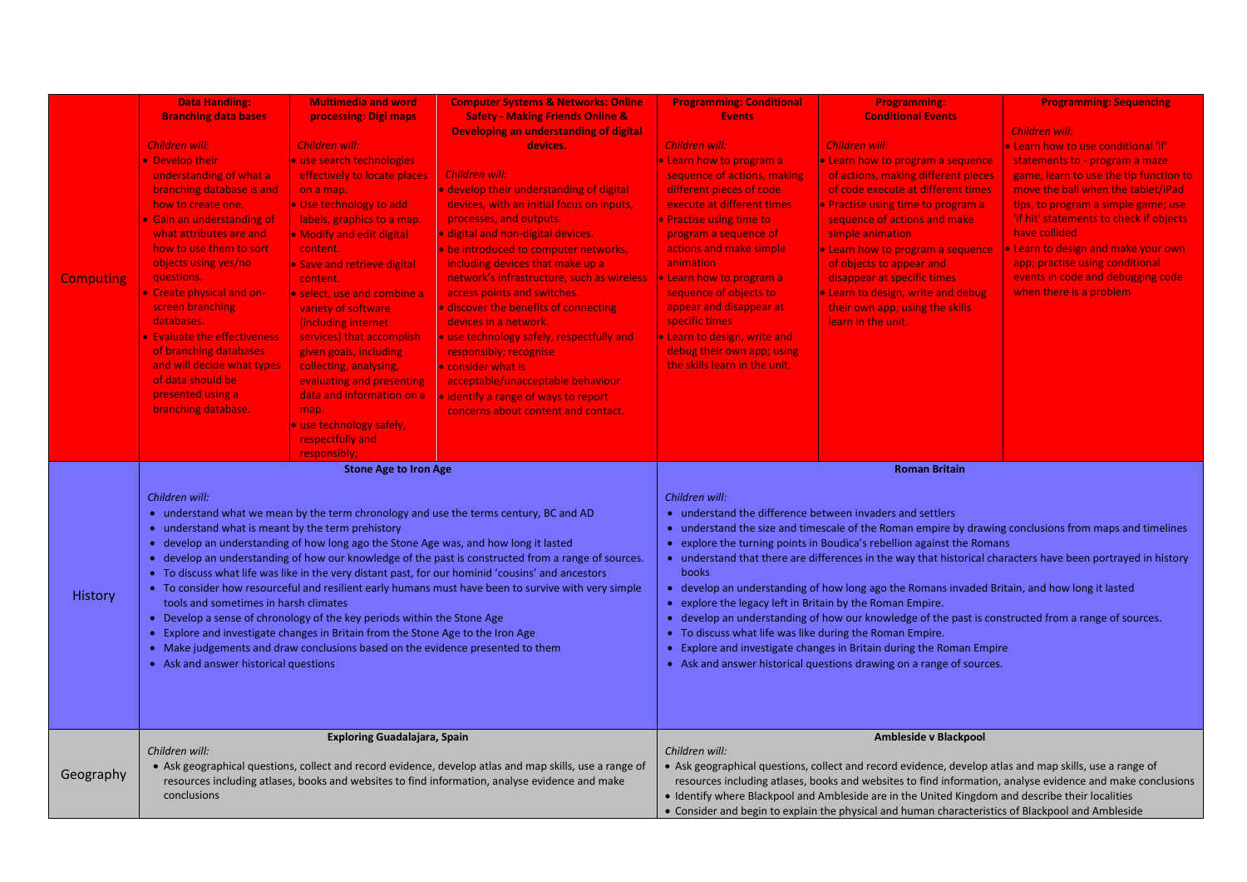|                  | <b>Data Handling:</b>                             | <b>Multimedia and word</b>                                                           | <b>Computer Systems &amp; Networks: Online</b>                                                          | <b>Programming: Conditional</b>                         | <b>Programming:</b>                                                                                                                                                                                   | <b>Programming: Sequencing</b>                                                                             |  |  |
|------------------|---------------------------------------------------|--------------------------------------------------------------------------------------|---------------------------------------------------------------------------------------------------------|---------------------------------------------------------|-------------------------------------------------------------------------------------------------------------------------------------------------------------------------------------------------------|------------------------------------------------------------------------------------------------------------|--|--|
|                  | <b>Branching data bases</b>                       | processing: Digi maps                                                                | <b>Safety - Making Friends Online &amp;</b>                                                             | <b>Events</b>                                           | <b>Conditional Events</b>                                                                                                                                                                             |                                                                                                            |  |  |
|                  |                                                   |                                                                                      | <b>Developing an understanding of digital</b>                                                           |                                                         |                                                                                                                                                                                                       | <b>Children will:</b>                                                                                      |  |  |
|                  | Children will:                                    | Children will:                                                                       | devices.                                                                                                | Children will:                                          | Children will:                                                                                                                                                                                        | • Learn how to use conditional 'if'                                                                        |  |  |
|                  | • Develop their                                   | • use search technologies                                                            |                                                                                                         | Learn how to program a                                  | . Learn how to program a sequence                                                                                                                                                                     | statements to - program a maze                                                                             |  |  |
|                  | understanding of what a                           | effectively to locate places                                                         | Children will:                                                                                          | sequence of actions, making                             | of actions, making different pieces                                                                                                                                                                   | game, learn to use the tip function to                                                                     |  |  |
|                  | branching database is and<br>how to create one.   | on a map.                                                                            | • develop their understanding of digital<br>devices, with an initial focus on inputs,                   | different pieces of code<br>execute at different times  | of code execute at different times                                                                                                                                                                    | move the ball when the tablet/iPad                                                                         |  |  |
|                  | • Gain an understanding of                        | . Use technology to add                                                              | processes, and outputs.                                                                                 | Practise using time to                                  | Practise using time to program a<br>sequence of actions and make                                                                                                                                      | tips, to program a simple game; use<br>'if hit' statements to check if objects                             |  |  |
|                  | what attributes are and                           | labels, graphics to a map.<br>• Modify and edit digital                              | · digital and non-digital devices.                                                                      | program a sequence of                                   | simple animation                                                                                                                                                                                      | have collided                                                                                              |  |  |
|                  | how to use them to sort                           | content.                                                                             | • be introduced to computer networks,                                                                   | actions and make simple                                 | Learn how to program a sequence                                                                                                                                                                       | Learn to design and make your own                                                                          |  |  |
|                  | objects using yes/no                              | • Save and retrieve digital                                                          | including devices that make up a                                                                        | animation                                               | of objects to appear and                                                                                                                                                                              | app; practise using conditional                                                                            |  |  |
| <b>Computing</b> | questions.                                        | content.                                                                             | network's infrastructure, such as wireless                                                              | • Learn how to program a                                | disappear at specific times                                                                                                                                                                           | events in code and debugging code                                                                          |  |  |
|                  | Create physical and on-                           | • select, use and combine a                                                          | access points and switches.                                                                             | sequence of objects to                                  | <b>Learn to design, write and debug</b>                                                                                                                                                               | when there is a problem                                                                                    |  |  |
|                  | screen branching                                  | variety of software                                                                  | • discover the benefits of connecting                                                                   | appear and disappear at                                 | their own app; using the skills                                                                                                                                                                       |                                                                                                            |  |  |
|                  | databases.                                        | (including internet)                                                                 | devices in a network.                                                                                   | specific times                                          | learn in the unit.                                                                                                                                                                                    |                                                                                                            |  |  |
|                  | <b>Evaluate the effectiveness</b>                 | services) that accomplish                                                            | • use technology safely, respectfully and                                                               | <b>Learn to design, write and</b>                       |                                                                                                                                                                                                       |                                                                                                            |  |  |
|                  | of branching databases                            | given goals, including                                                               | responsibly; recognise                                                                                  | debug their own app; using                              |                                                                                                                                                                                                       |                                                                                                            |  |  |
|                  | and will decide what types                        | collecting, analysing,                                                               | • consider what is                                                                                      | the skills learn in the unit.                           |                                                                                                                                                                                                       |                                                                                                            |  |  |
|                  | of data should be                                 | evaluating and presenting                                                            | acceptable/unacceptable behaviour                                                                       |                                                         |                                                                                                                                                                                                       |                                                                                                            |  |  |
|                  | presented using a                                 | data and information on a                                                            | • identify a range of ways to report                                                                    |                                                         |                                                                                                                                                                                                       |                                                                                                            |  |  |
|                  | branching database.                               | map.                                                                                 | concerns about content and contact.                                                                     |                                                         |                                                                                                                                                                                                       |                                                                                                            |  |  |
|                  |                                                   | use technology safely,                                                               |                                                                                                         |                                                         |                                                                                                                                                                                                       |                                                                                                            |  |  |
|                  |                                                   | respectfully and                                                                     |                                                                                                         |                                                         |                                                                                                                                                                                                       |                                                                                                            |  |  |
|                  |                                                   | responsibly;<br><b>Stone Age to Iron Age</b>                                         |                                                                                                         |                                                         | <b>Roman Britain</b>                                                                                                                                                                                  |                                                                                                            |  |  |
|                  |                                                   |                                                                                      |                                                                                                         |                                                         |                                                                                                                                                                                                       |                                                                                                            |  |  |
|                  | Children will:                                    |                                                                                      |                                                                                                         | Children will:                                          |                                                                                                                                                                                                       |                                                                                                            |  |  |
|                  |                                                   |                                                                                      | • understand what we mean by the term chronology and use the terms century, BC and AD                   |                                                         | • understand the difference between invaders and settlers<br>understand the size and timescale of the Roman empire by drawing conclusions from maps and timelines                                     |                                                                                                            |  |  |
|                  | • understand what is meant by the term prehistory |                                                                                      |                                                                                                         |                                                         |                                                                                                                                                                                                       |                                                                                                            |  |  |
|                  |                                                   | • develop an understanding of how long ago the Stone Age was, and how long it lasted |                                                                                                         |                                                         | explore the turning points in Boudica's rebellion against the Romans                                                                                                                                  |                                                                                                            |  |  |
|                  |                                                   |                                                                                      | • develop an understanding of how our knowledge of the past is constructed from a range of sources.     |                                                         |                                                                                                                                                                                                       | understand that there are differences in the way that historical characters have been portrayed in history |  |  |
|                  |                                                   |                                                                                      | • To discuss what life was like in the very distant past, for our hominid 'cousins' and ancestors       | books                                                   |                                                                                                                                                                                                       |                                                                                                            |  |  |
| History          |                                                   |                                                                                      |                                                                                                         |                                                         |                                                                                                                                                                                                       |                                                                                                            |  |  |
|                  |                                                   |                                                                                      | • To consider how resourceful and resilient early humans must have been to survive with very simple     |                                                         | • develop an understanding of how long ago the Romans invaded Britain, and how long it lasted                                                                                                         |                                                                                                            |  |  |
|                  | tools and sometimes in harsh climates             |                                                                                      |                                                                                                         | explore the legacy left in Britain by the Roman Empire. |                                                                                                                                                                                                       |                                                                                                            |  |  |
|                  |                                                   | • Develop a sense of chronology of the key periods within the Stone Age              |                                                                                                         |                                                         | • develop an understanding of how our knowledge of the past is constructed from a range of sources.                                                                                                   |                                                                                                            |  |  |
|                  |                                                   | • Explore and investigate changes in Britain from the Stone Age to the Iron Age      |                                                                                                         | To discuss what life was like during the Roman Empire.  |                                                                                                                                                                                                       |                                                                                                            |  |  |
|                  |                                                   | • Make judgements and draw conclusions based on the evidence presented to them       |                                                                                                         |                                                         | • Explore and investigate changes in Britain during the Roman Empire                                                                                                                                  |                                                                                                            |  |  |
|                  | • Ask and answer historical questions             |                                                                                      |                                                                                                         |                                                         | Ask and answer historical questions drawing on a range of sources.                                                                                                                                    |                                                                                                            |  |  |
|                  |                                                   |                                                                                      |                                                                                                         |                                                         |                                                                                                                                                                                                       |                                                                                                            |  |  |
|                  |                                                   |                                                                                      |                                                                                                         |                                                         |                                                                                                                                                                                                       |                                                                                                            |  |  |
|                  |                                                   |                                                                                      |                                                                                                         |                                                         |                                                                                                                                                                                                       |                                                                                                            |  |  |
|                  |                                                   | <b>Exploring Guadalajara, Spain</b>                                                  |                                                                                                         |                                                         | Ambleside v Blackpool                                                                                                                                                                                 |                                                                                                            |  |  |
|                  | Children will:                                    |                                                                                      |                                                                                                         | Children will:                                          |                                                                                                                                                                                                       |                                                                                                            |  |  |
|                  |                                                   |                                                                                      | • Ask geographical questions, collect and record evidence, develop atlas and map skills, use a range of |                                                         | • Ask geographical questions, collect and record evidence, develop atlas and map skills, use a range of                                                                                               |                                                                                                            |  |  |
| Geography        |                                                   |                                                                                      | resources including atlases, books and websites to find information, analyse evidence and make          |                                                         |                                                                                                                                                                                                       | resources including atlases, books and websites to find information, analyse evidence and make conclusions |  |  |
|                  | conclusions                                       |                                                                                      |                                                                                                         |                                                         | . Identify where Blackpool and Ambleside are in the United Kingdom and describe their localities<br>• Consider and begin to explain the physical and human characteristics of Blackpool and Ambleside |                                                                                                            |  |  |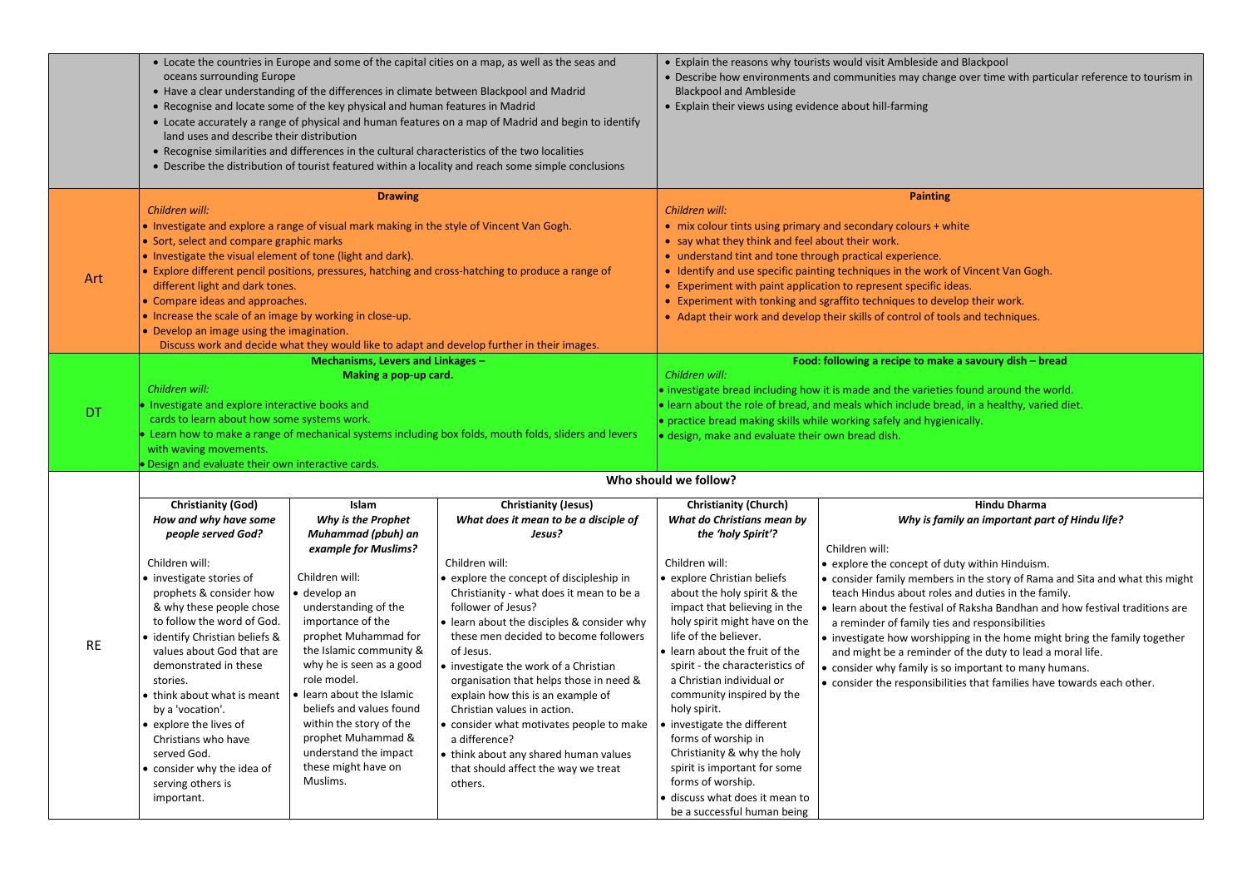|           | • Locate the countries in Europe and some of the capital cities on a map, as well as the seas and<br>oceans surrounding Europe<br>• Have a clear understanding of the differences in climate between Blackpool and Madrid<br>• Recognise and locate some of the key physical and human features in Madrid<br>• Locate accurately a range of physical and human features on a map of Madrid and begin to identify<br>land uses and describe their distribution<br>• Recognise similarities and differences in the cultural characteristics of the two localities<br>• Describe the distribution of tourist featured within a locality and reach some simple conclusions |                                                                                           |                                                                                                      |                                                                                                                                                                     | • Explain the reasons why tourists would visit Ambleside and Blackpool<br>• Describe how environments and communities may change over time with particular reference to tourism in<br>• Explain their views using evidence about hill-farming |  |
|-----------|------------------------------------------------------------------------------------------------------------------------------------------------------------------------------------------------------------------------------------------------------------------------------------------------------------------------------------------------------------------------------------------------------------------------------------------------------------------------------------------------------------------------------------------------------------------------------------------------------------------------------------------------------------------------|-------------------------------------------------------------------------------------------|------------------------------------------------------------------------------------------------------|---------------------------------------------------------------------------------------------------------------------------------------------------------------------|-----------------------------------------------------------------------------------------------------------------------------------------------------------------------------------------------------------------------------------------------|--|
|           | Children will:                                                                                                                                                                                                                                                                                                                                                                                                                                                                                                                                                                                                                                                         | <b>Drawing</b>                                                                            |                                                                                                      | Children will:                                                                                                                                                      | <b>Painting</b>                                                                                                                                                                                                                               |  |
|           |                                                                                                                                                                                                                                                                                                                                                                                                                                                                                                                                                                                                                                                                        | • Investigate and explore a range of visual mark making in the style of Vincent Van Gogh. |                                                                                                      |                                                                                                                                                                     | • mix colour tints using primary and secondary colours + white                                                                                                                                                                                |  |
|           | • Sort, select and compare graphic marks                                                                                                                                                                                                                                                                                                                                                                                                                                                                                                                                                                                                                               |                                                                                           |                                                                                                      | • say what they think and feel about their work.                                                                                                                    |                                                                                                                                                                                                                                               |  |
|           | • Investigate the visual element of tone (light and dark).                                                                                                                                                                                                                                                                                                                                                                                                                                                                                                                                                                                                             |                                                                                           |                                                                                                      | • understand tint and tone through practical experience.                                                                                                            |                                                                                                                                                                                                                                               |  |
| Art       |                                                                                                                                                                                                                                                                                                                                                                                                                                                                                                                                                                                                                                                                        |                                                                                           | • Explore different pencil positions, pressures, hatching and cross-hatching to produce a range of   |                                                                                                                                                                     | • Identify and use specific painting techniques in the work of Vincent Van Gogh.                                                                                                                                                              |  |
|           | different light and dark tones.                                                                                                                                                                                                                                                                                                                                                                                                                                                                                                                                                                                                                                        |                                                                                           |                                                                                                      |                                                                                                                                                                     | • Experiment with paint application to represent specific ideas.                                                                                                                                                                              |  |
|           | • Compare ideas and approaches.<br>• Increase the scale of an image by working in close-up.                                                                                                                                                                                                                                                                                                                                                                                                                                                                                                                                                                            |                                                                                           |                                                                                                      |                                                                                                                                                                     | • Experiment with tonking and sgraffito techniques to develop their work.<br>• Adapt their work and develop their skills of control of tools and techniques.                                                                                  |  |
|           | • Develop an image using the imagination.                                                                                                                                                                                                                                                                                                                                                                                                                                                                                                                                                                                                                              |                                                                                           |                                                                                                      |                                                                                                                                                                     |                                                                                                                                                                                                                                               |  |
|           |                                                                                                                                                                                                                                                                                                                                                                                                                                                                                                                                                                                                                                                                        |                                                                                           | Discuss work and decide what they would like to adapt and develop further in their images.           |                                                                                                                                                                     |                                                                                                                                                                                                                                               |  |
|           |                                                                                                                                                                                                                                                                                                                                                                                                                                                                                                                                                                                                                                                                        | Mechanisms, Levers and Linkages -                                                         |                                                                                                      | Food: following a recipe to make a savoury dish - bread                                                                                                             |                                                                                                                                                                                                                                               |  |
|           |                                                                                                                                                                                                                                                                                                                                                                                                                                                                                                                                                                                                                                                                        | Making a pop-up card.                                                                     |                                                                                                      | Children will:                                                                                                                                                      |                                                                                                                                                                                                                                               |  |
|           | Children will:                                                                                                                                                                                                                                                                                                                                                                                                                                                                                                                                                                                                                                                         |                                                                                           |                                                                                                      | • investigate bread including how it is made and the varieties found around the world.                                                                              |                                                                                                                                                                                                                                               |  |
| DT        | Investigate and explore interactive books and<br>cards to learn about how some systems work.                                                                                                                                                                                                                                                                                                                                                                                                                                                                                                                                                                           |                                                                                           |                                                                                                      | . learn about the role of bread, and meals which include bread, in a healthy, varied diet.<br>• practice bread making skills while working safely and hygienically. |                                                                                                                                                                                                                                               |  |
|           |                                                                                                                                                                                                                                                                                                                                                                                                                                                                                                                                                                                                                                                                        |                                                                                           | Learn how to make a range of mechanical systems including box folds, mouth folds, sliders and levers | · design, make and evaluate their own bread dish.                                                                                                                   |                                                                                                                                                                                                                                               |  |
|           | with waving movements.                                                                                                                                                                                                                                                                                                                                                                                                                                                                                                                                                                                                                                                 |                                                                                           |                                                                                                      |                                                                                                                                                                     |                                                                                                                                                                                                                                               |  |
|           | Design and evaluate their own interactive cards.                                                                                                                                                                                                                                                                                                                                                                                                                                                                                                                                                                                                                       |                                                                                           |                                                                                                      |                                                                                                                                                                     |                                                                                                                                                                                                                                               |  |
|           |                                                                                                                                                                                                                                                                                                                                                                                                                                                                                                                                                                                                                                                                        |                                                                                           |                                                                                                      | Who should we follow?                                                                                                                                               |                                                                                                                                                                                                                                               |  |
|           | <b>Christianity (God)</b>                                                                                                                                                                                                                                                                                                                                                                                                                                                                                                                                                                                                                                              | Islam                                                                                     | <b>Christianity (Jesus)</b>                                                                          | <b>Christianity (Church)</b>                                                                                                                                        | <b>Hindu Dharma</b>                                                                                                                                                                                                                           |  |
|           | How and why have some                                                                                                                                                                                                                                                                                                                                                                                                                                                                                                                                                                                                                                                  | Why is the Prophet                                                                        | What does it mean to be a disciple of                                                                | What do Christians mean by                                                                                                                                          | Why is family an important part of Hindu life?                                                                                                                                                                                                |  |
|           | people served God?                                                                                                                                                                                                                                                                                                                                                                                                                                                                                                                                                                                                                                                     | Muhammad (pbuh) an                                                                        | Jesus?                                                                                               | the 'holy Spirit'?                                                                                                                                                  |                                                                                                                                                                                                                                               |  |
|           | Children will:                                                                                                                                                                                                                                                                                                                                                                                                                                                                                                                                                                                                                                                         | example for Muslims?                                                                      | Children will:                                                                                       | Children will:                                                                                                                                                      | Children will:<br>• explore the concept of duty within Hinduism.                                                                                                                                                                              |  |
|           | · investigate stories of                                                                                                                                                                                                                                                                                                                                                                                                                                                                                                                                                                                                                                               | Children will:                                                                            | • explore the concept of discipleship in                                                             | · explore Christian beliefs                                                                                                                                         | • consider family members in the story of Rama and Sita and what this might                                                                                                                                                                   |  |
|           | prophets & consider how                                                                                                                                                                                                                                                                                                                                                                                                                                                                                                                                                                                                                                                | · develop an                                                                              | Christianity - what does it mean to be a                                                             | about the holy spirit & the                                                                                                                                         | teach Hindus about roles and duties in the family.                                                                                                                                                                                            |  |
|           | & why these people chose                                                                                                                                                                                                                                                                                                                                                                                                                                                                                                                                                                                                                                               | understanding of the                                                                      | follower of Jesus?                                                                                   | impact that believing in the                                                                                                                                        | $\bullet$ learn about the festival of Raksha Bandhan and how festival traditions are                                                                                                                                                          |  |
|           | to follow the word of God.                                                                                                                                                                                                                                                                                                                                                                                                                                                                                                                                                                                                                                             | importance of the                                                                         | learn about the disciples & consider why                                                             | holy spirit might have on the                                                                                                                                       | a reminder of family ties and responsibilities                                                                                                                                                                                                |  |
| <b>RE</b> | · identify Christian beliefs &                                                                                                                                                                                                                                                                                                                                                                                                                                                                                                                                                                                                                                         | prophet Muhammad for                                                                      | these men decided to become followers                                                                | life of the believer.                                                                                                                                               | investigate how worshipping in the home might bring the family together                                                                                                                                                                       |  |
|           | values about God that are<br>demonstrated in these                                                                                                                                                                                                                                                                                                                                                                                                                                                                                                                                                                                                                     | the Islamic community &<br>why he is seen as a good                                       | of Jesus.<br>investigate the work of a Christian                                                     | • learn about the fruit of the<br>spirit - the characteristics of                                                                                                   | and might be a reminder of the duty to lead a moral life.                                                                                                                                                                                     |  |
|           | stories.                                                                                                                                                                                                                                                                                                                                                                                                                                                                                                                                                                                                                                                               | role model.                                                                               | organisation that helps those in need &                                                              | a Christian individual or                                                                                                                                           | consider why family is so important to many humans.<br>• consider the responsibilities that families have towards each other.                                                                                                                 |  |
|           | • think about what is meant                                                                                                                                                                                                                                                                                                                                                                                                                                                                                                                                                                                                                                            | · learn about the Islamic                                                                 | explain how this is an example of                                                                    | community inspired by the                                                                                                                                           |                                                                                                                                                                                                                                               |  |
|           | by a 'vocation'.                                                                                                                                                                                                                                                                                                                                                                                                                                                                                                                                                                                                                                                       | beliefs and values found                                                                  | Christian values in action.                                                                          | holy spirit.                                                                                                                                                        |                                                                                                                                                                                                                                               |  |
|           | • explore the lives of                                                                                                                                                                                                                                                                                                                                                                                                                                                                                                                                                                                                                                                 | within the story of the                                                                   | • consider what motivates people to make                                                             | • investigate the different                                                                                                                                         |                                                                                                                                                                                                                                               |  |
|           | Christians who have                                                                                                                                                                                                                                                                                                                                                                                                                                                                                                                                                                                                                                                    | prophet Muhammad &<br>understand the impact                                               | a difference?                                                                                        | forms of worship in                                                                                                                                                 |                                                                                                                                                                                                                                               |  |
|           | served God.<br>• consider why the idea of                                                                                                                                                                                                                                                                                                                                                                                                                                                                                                                                                                                                                              | these might have on                                                                       | think about any shared human values<br>that should affect the way we treat                           | Christianity & why the holy<br>spirit is important for some                                                                                                         |                                                                                                                                                                                                                                               |  |
|           | serving others is                                                                                                                                                                                                                                                                                                                                                                                                                                                                                                                                                                                                                                                      | Muslims.                                                                                  | others.                                                                                              | forms of worship.                                                                                                                                                   |                                                                                                                                                                                                                                               |  |
|           | important.                                                                                                                                                                                                                                                                                                                                                                                                                                                                                                                                                                                                                                                             |                                                                                           |                                                                                                      | · discuss what does it mean to                                                                                                                                      |                                                                                                                                                                                                                                               |  |
|           |                                                                                                                                                                                                                                                                                                                                                                                                                                                                                                                                                                                                                                                                        |                                                                                           |                                                                                                      | be a successful human being                                                                                                                                         |                                                                                                                                                                                                                                               |  |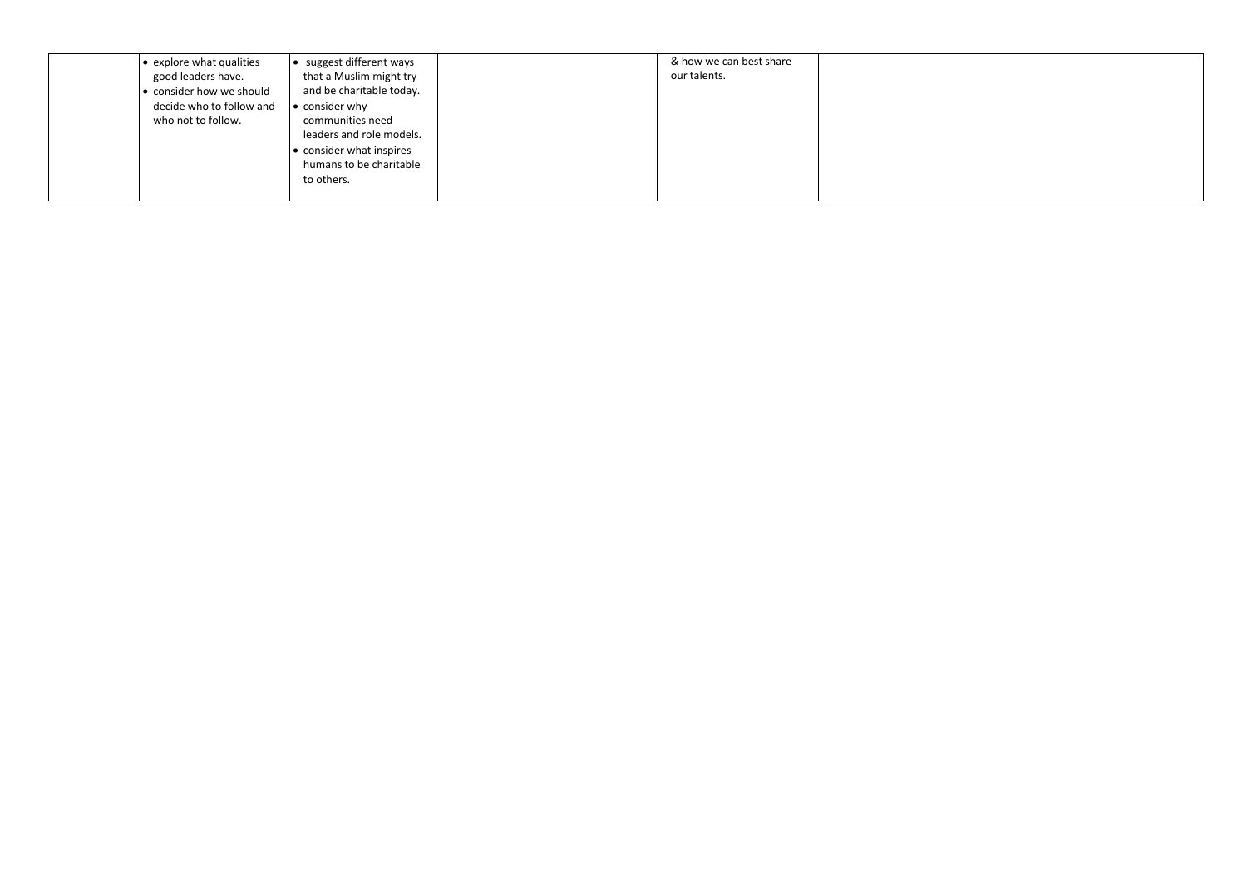| $\bullet$ explore what qualities | • suggest different ways | & how we can best share |  |
|----------------------------------|--------------------------|-------------------------|--|
| good leaders have.               | that a Muslim might try  | our talents.            |  |
| • consider how we should         | and be charitable today. |                         |  |
| decide who to follow and         | • consider why           |                         |  |
| who not to follow.               | communities need         |                         |  |
|                                  | leaders and role models. |                         |  |
|                                  | • consider what inspires |                         |  |
|                                  | humans to be charitable  |                         |  |
|                                  | to others.               |                         |  |
|                                  |                          |                         |  |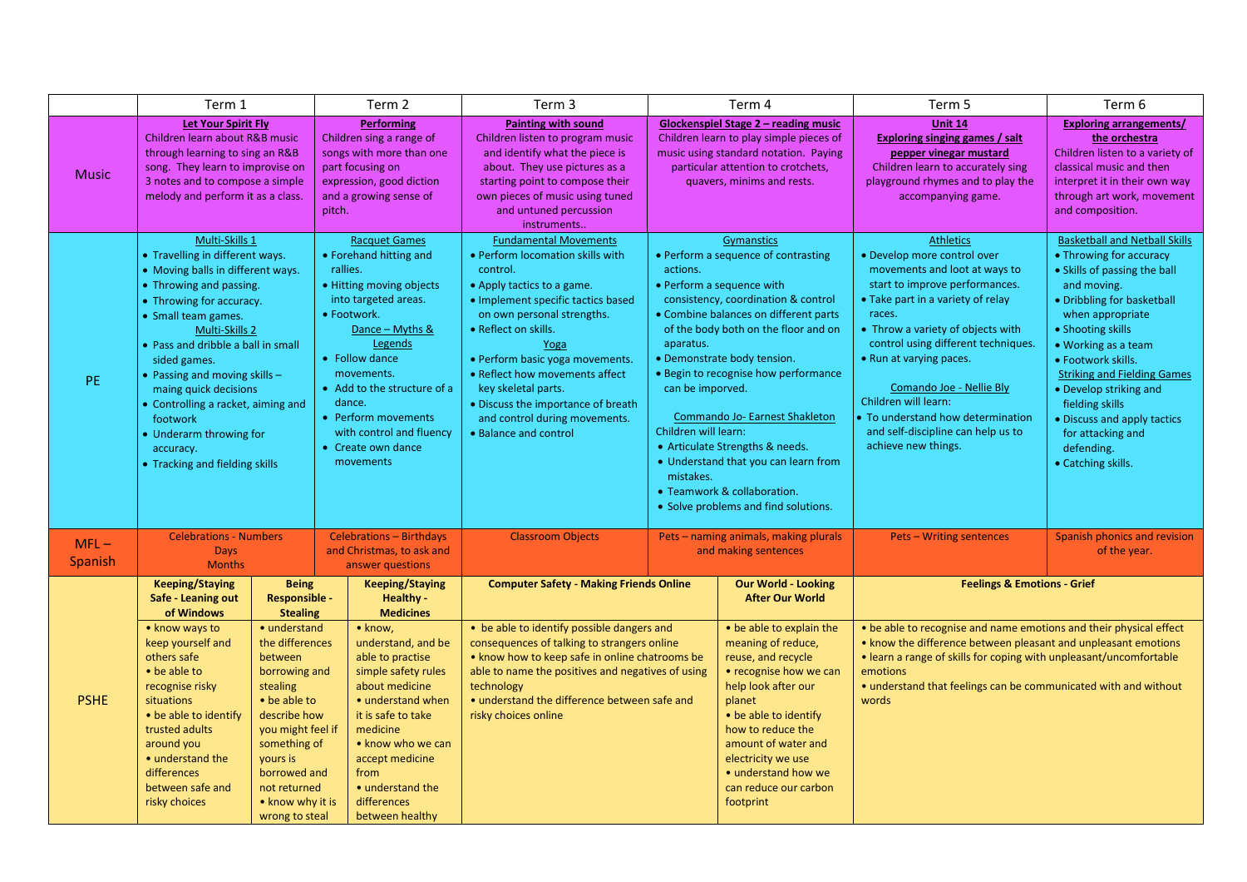|                   | Term 1                                                                                                                                                                                                                                                                                                                                                                                                                               |                                                                                                                                                                                                                                | Term 2                                                                                                                                                                                                                                                                                                                     | Term 3                                                                                                                                                                                                                                                                                                                                                                                                     |                                                                                                                                                                                                                                                                                                                                                                                                                                                                                                                                                     | Term 4                                                                                                                                                                                                                                                                                  | Term 5                                                                                                                                                                                                                                                                                                                                                                                                                       | Term 6                                                                                                                                                                                                                                                                                                                                                                                                        |
|-------------------|--------------------------------------------------------------------------------------------------------------------------------------------------------------------------------------------------------------------------------------------------------------------------------------------------------------------------------------------------------------------------------------------------------------------------------------|--------------------------------------------------------------------------------------------------------------------------------------------------------------------------------------------------------------------------------|----------------------------------------------------------------------------------------------------------------------------------------------------------------------------------------------------------------------------------------------------------------------------------------------------------------------------|------------------------------------------------------------------------------------------------------------------------------------------------------------------------------------------------------------------------------------------------------------------------------------------------------------------------------------------------------------------------------------------------------------|-----------------------------------------------------------------------------------------------------------------------------------------------------------------------------------------------------------------------------------------------------------------------------------------------------------------------------------------------------------------------------------------------------------------------------------------------------------------------------------------------------------------------------------------------------|-----------------------------------------------------------------------------------------------------------------------------------------------------------------------------------------------------------------------------------------------------------------------------------------|------------------------------------------------------------------------------------------------------------------------------------------------------------------------------------------------------------------------------------------------------------------------------------------------------------------------------------------------------------------------------------------------------------------------------|---------------------------------------------------------------------------------------------------------------------------------------------------------------------------------------------------------------------------------------------------------------------------------------------------------------------------------------------------------------------------------------------------------------|
| <b>Music</b>      | <b>Let Your Spirit Fly</b><br>Children learn about R&B music<br>through learning to sing an R&B<br>song. They learn to improvise on<br>3 notes and to compose a simple<br>melody and perform it as a class.                                                                                                                                                                                                                          |                                                                                                                                                                                                                                | <b>Performing</b><br>Children sing a range of<br>songs with more than one<br>part focusing on<br>expression, good diction<br>and a growing sense of<br>pitch.                                                                                                                                                              | <b>Painting with sound</b><br>Children listen to program music<br>and identify what the piece is<br>about. They use pictures as a<br>starting point to compose their<br>own pieces of music using tuned<br>and untuned percussion<br>instruments                                                                                                                                                           | <b>Glockenspiel Stage 2 - reading music</b><br>Children learn to play simple pieces of<br>music using standard notation. Paying<br>particular attention to crotchets,<br>quavers, minims and rests.                                                                                                                                                                                                                                                                                                                                                 |                                                                                                                                                                                                                                                                                         | <b>Unit 14</b><br><b>Exploring singing games / salt</b><br>pepper vinegar mustard<br>Children learn to accurately sing<br>playground rhymes and to play the<br>accompanying game.                                                                                                                                                                                                                                            | <b>Exploring arrangements/</b><br>the orchestra<br>Children listen to a variety of<br>classical music and then<br>interpret it in their own way<br>through art work, movement<br>and composition.                                                                                                                                                                                                             |
| PE.               | Multi-Skills 1<br>• Travelling in different ways.<br>• Moving balls in different ways.<br>• Throwing and passing.<br>• Throwing for accuracy.<br>• Small team games.<br>Multi-Skills 2<br>• Pass and dribble a ball in small<br>sided games.<br>• Passing and moving skills $-$<br>maing quick decisions<br>• Controlling a racket, aiming and<br>footwork<br>• Underarm throwing for<br>accuracy.<br>• Tracking and fielding skills |                                                                                                                                                                                                                                | <b>Racquet Games</b><br>• Forehand hitting and<br>rallies.<br>• Hitting moving objects<br>into targeted areas.<br>• Footwork.<br>Dance - Myths &<br>Legends<br>• Follow dance<br>movements.<br>• Add to the structure of a<br>dance.<br>• Perform movements<br>with control and fluency<br>• Create own dance<br>movements | <b>Fundamental Movements</b><br>• Perform locomation skills with<br>control.<br>• Apply tactics to a game.<br>· Implement specific tactics based<br>on own personal strengths.<br>• Reflect on skills.<br>Yoga<br>• Perform basic yoga movements.<br>• Reflect how movements affect<br>key skeletal parts.<br>• Discuss the importance of breath<br>and control during movements.<br>• Balance and control | Gymanstics<br>• Perform a sequence of contrasting<br>actions.<br>• Perform a sequence with<br>consistency, coordination & control<br>• Combine balances on different parts<br>of the body both on the floor and on<br>aparatus.<br>• Demonstrate body tension.<br>• Begin to recognise how performance<br>can be imporved.<br>Commando Jo- Earnest Shakleton<br>Children will learn:<br>• Articulate Strengths & needs.<br>• Understand that you can learn from<br>mistakes.<br>• Teamwork & collaboration.<br>• Solve problems and find solutions. |                                                                                                                                                                                                                                                                                         | <b>Athletics</b><br>· Develop more control over<br>movements and loot at ways to<br>start to improve performances.<br>. Take part in a variety of relay<br>races.<br>• Throw a variety of objects with<br>control using different techniques.<br>• Run at varying paces.<br>Comando Joe - Nellie Bly<br>Children will learn:<br>To understand how determination<br>and self-discipline can help us to<br>achieve new things. | <b>Basketball and Netball Skills</b><br>• Throwing for accuracy<br>• Skills of passing the ball<br>and moving.<br>• Dribbling for basketball<br>when appropriate<br>• Shooting skills<br>• Working as a team<br>· Footwork skills.<br><b>Striking and Fielding Games</b><br>• Develop striking and<br>fielding skills<br>• Discuss and apply tactics<br>for attacking and<br>defending.<br>• Catching skills. |
| $MFL-$<br>Spanish | <b>Celebrations - Numbers</b><br><b>Days</b><br><b>Months</b>                                                                                                                                                                                                                                                                                                                                                                        |                                                                                                                                                                                                                                | Celebrations - Birthdays<br>and Christmas, to ask and<br>answer questions                                                                                                                                                                                                                                                  | <b>Classroom Objects</b>                                                                                                                                                                                                                                                                                                                                                                                   |                                                                                                                                                                                                                                                                                                                                                                                                                                                                                                                                                     | Pets - naming animals, making plurals<br>and making sentences                                                                                                                                                                                                                           | <b>Pets - Writing sentences</b>                                                                                                                                                                                                                                                                                                                                                                                              | Spanish phonics and revision<br>of the year.                                                                                                                                                                                                                                                                                                                                                                  |
|                   | <b>Keeping/Staying</b><br>Safe - Leaning out<br>of Windows                                                                                                                                                                                                                                                                                                                                                                           | <b>Being</b><br><b>Responsible -</b><br><b>Stealing</b>                                                                                                                                                                        | <b>Keeping/Staying</b><br>Healthy -<br><b>Medicines</b>                                                                                                                                                                                                                                                                    | <b>Computer Safety - Making Friends Online</b>                                                                                                                                                                                                                                                                                                                                                             |                                                                                                                                                                                                                                                                                                                                                                                                                                                                                                                                                     | <b>Our World - Looking</b><br><b>After Our World</b>                                                                                                                                                                                                                                    | <b>Feelings &amp; Emotions - Grief</b>                                                                                                                                                                                                                                                                                                                                                                                       |                                                                                                                                                                                                                                                                                                                                                                                                               |
| <b>PSHE</b>       | • know ways to<br>keep yourself and<br>others safe<br>• be able to<br>recognise risky<br>situations<br>• be able to identify<br>trusted adults<br>around you<br>• understand the<br>differences<br>between safe and<br>risky choices                                                                                                                                                                                                 | • understand<br>the differences<br>between<br>borrowing and<br>stealing<br>• be able to<br>describe how<br>you might feel if<br>something of<br>yours is<br>borrowed and<br>not returned<br>• know why it is<br>wrong to steal | • know,<br>understand, and be<br>able to practise<br>simple safety rules<br>about medicine<br>• understand when<br>it is safe to take<br>medicine<br>• know who we can<br>accept medicine<br>from<br>• understand the<br>differences<br>between healthy                                                                    | • be able to identify possible dangers and<br>consequences of talking to strangers online<br>• know how to keep safe in online chatrooms be<br>able to name the positives and negatives of using<br>technology<br>• understand the difference between safe and<br>risky choices online                                                                                                                     |                                                                                                                                                                                                                                                                                                                                                                                                                                                                                                                                                     | • be able to explain the<br>meaning of reduce,<br>reuse, and recycle<br>• recognise how we can<br>help look after our<br>planet<br>• be able to identify<br>how to reduce the<br>amount of water and<br>electricity we use<br>• understand how we<br>can reduce our carbon<br>footprint | . be able to recognise and name emotions and their physical effect<br>• know the difference between pleasant and unpleasant emotions<br>• learn a range of skills for coping with unpleasant/uncomfortable<br>emotions<br>• understand that feelings can be communicated with and without<br>words                                                                                                                           |                                                                                                                                                                                                                                                                                                                                                                                                               |